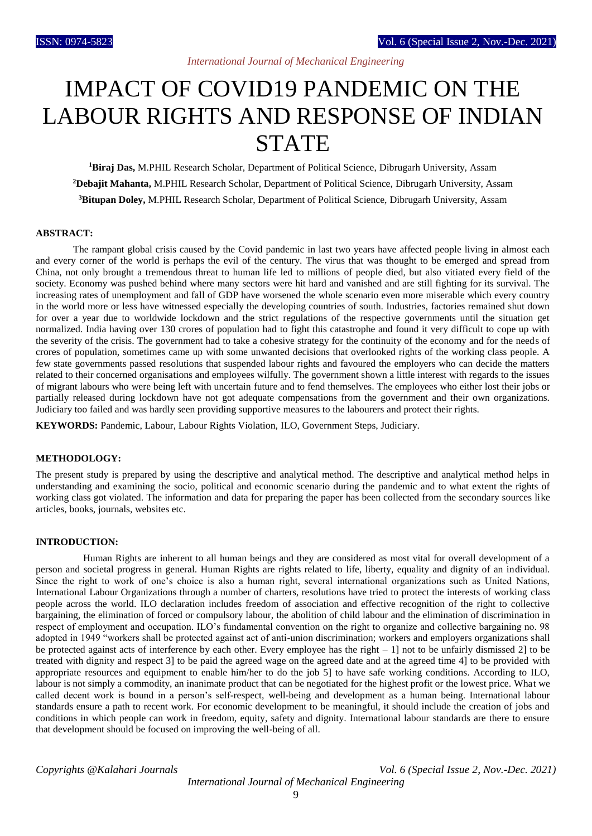# IMPACT OF COVID19 PANDEMIC ON THE LABOUR RIGHTS AND RESPONSE OF INDIAN **STATE**

**<sup>1</sup>Biraj Das,** M.PHIL Research Scholar, Department of Political Science, Dibrugarh University, Assam **<sup>2</sup>Debajit Mahanta,** M.PHIL Research Scholar, Department of Political Science, Dibrugarh University, Assam **<sup>3</sup>Bitupan Doley,** M.PHIL Research Scholar, Department of Political Science, Dibrugarh University, Assam

## **ABSTRACT:**

 The rampant global crisis caused by the Covid pandemic in last two years have affected people living in almost each and every corner of the world is perhaps the evil of the century. The virus that was thought to be emerged and spread from China, not only brought a tremendous threat to human life led to millions of people died, but also vitiated every field of the society. Economy was pushed behind where many sectors were hit hard and vanished and are still fighting for its survival. The increasing rates of unemployment and fall of GDP have worsened the whole scenario even more miserable which every country in the world more or less have witnessed especially the developing countries of south. Industries, factories remained shut down for over a year due to worldwide lockdown and the strict regulations of the respective governments until the situation get normalized. India having over 130 crores of population had to fight this catastrophe and found it very difficult to cope up with the severity of the crisis. The government had to take a cohesive strategy for the continuity of the economy and for the needs of crores of population, sometimes came up with some unwanted decisions that overlooked rights of the working class people. A few state governments passed resolutions that suspended labour rights and favoured the employers who can decide the matters related to their concerned organisations and employees wilfully. The government shown a little interest with regards to the issues of migrant labours who were being left with uncertain future and to fend themselves. The employees who either lost their jobs or partially released during lockdown have not got adequate compensations from the government and their own organizations. Judiciary too failed and was hardly seen providing supportive measures to the labourers and protect their rights.

**KEYWORDS:** Pandemic, Labour, Labour Rights Violation, ILO, Government Steps, Judiciary.

## **METHODOLOGY:**

The present study is prepared by using the descriptive and analytical method. The descriptive and analytical method helps in understanding and examining the socio, political and economic scenario during the pandemic and to what extent the rights of working class got violated. The information and data for preparing the paper has been collected from the secondary sources like articles, books, journals, websites etc.

### **INTRODUCTION:**

 Human Rights are inherent to all human beings and they are considered as most vital for overall development of a person and societal progress in general. Human Rights are rights related to life, liberty, equality and dignity of an individual. Since the right to work of one's choice is also a human right, several international organizations such as United Nations, International Labour Organizations through a number of charters, resolutions have tried to protect the interests of working class people across the world. ILO declaration includes freedom of association and effective recognition of the right to collective bargaining, the elimination of forced or compulsory labour, the abolition of child labour and the elimination of discrimination in respect of employment and occupation. ILO's fundamental convention on the right to organize and collective bargaining no. 98 adopted in 1949 "workers shall be protected against act of anti-union discrimination; workers and employers organizations shall be protected against acts of interference by each other. Every employee has the right  $-1$ ] not to be unfairly dismissed 2] to be treated with dignity and respect 3] to be paid the agreed wage on the agreed date and at the agreed time 4] to be provided with appropriate resources and equipment to enable him/her to do the job 5] to have safe working conditions. According to ILO, labour is not simply a commodity, an inanimate product that can be negotiated for the highest profit or the lowest price. What we called decent work is bound in a person's self-respect, well-being and development as a human being. International labour standards ensure a path to recent work. For economic development to be meaningful, it should include the creation of jobs and conditions in which people can work in freedom, equity, safety and dignity. International labour standards are there to ensure that development should be focused on improving the well-being of all.

*Copyrights @Kalahari Journals Vol. 6 (Special Issue 2, Nov.-Dec. 2021) International Journal of Mechanical Engineering*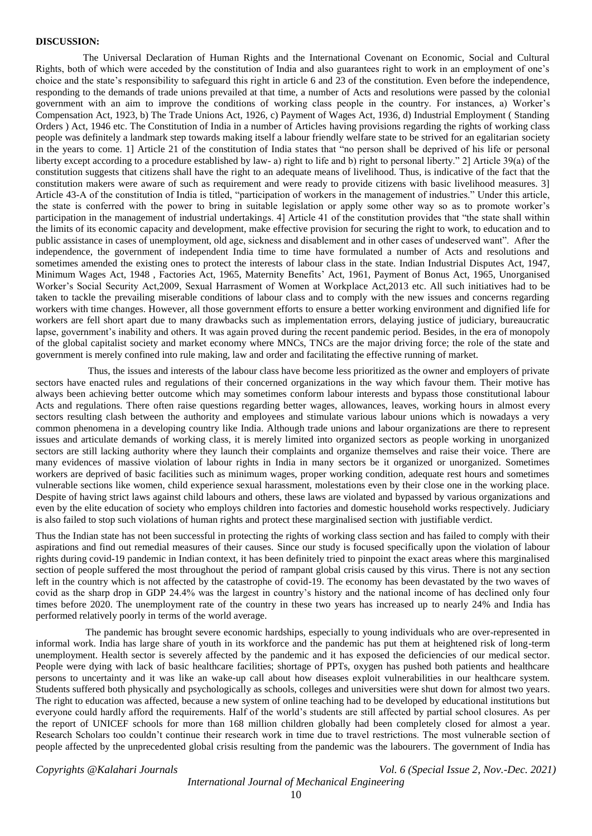#### **DISCUSSION:**

 The Universal Declaration of Human Rights and the International Covenant on Economic, Social and Cultural Rights, both of which were acceded by the constitution of India and also guarantees right to work in an employment of one's choice and the state's responsibility to safeguard this right in article 6 and 23 of the constitution. Even before the independence, responding to the demands of trade unions prevailed at that time, a number of Acts and resolutions were passed by the colonial government with an aim to improve the conditions of working class people in the country. For instances, a) Worker's Compensation Act, 1923, b) The Trade Unions Act, 1926, c) Payment of Wages Act, 1936, d) Industrial Employment ( Standing Orders ) Act, 1946 etc. The Constitution of India in a number of Articles having provisions regarding the rights of working class people was definitely a landmark step towards making itself a labour friendly welfare state to be strived for an egalitarian society in the years to come. 1] Article 21 of the constitution of India states that "no person shall be deprived of his life or personal liberty except according to a procedure established by law- a) right to life and b) right to personal liberty." 2] Article 39(a) of the constitution suggests that citizens shall have the right to an adequate means of livelihood. Thus, is indicative of the fact that the constitution makers were aware of such as requirement and were ready to provide citizens with basic livelihood measures. 3] Article 43-A of the constitution of India is titled, "participation of workers in the management of industries." Under this article, the state is conferred with the power to bring in suitable legislation or apply some other way so as to promote worker's participation in the management of industrial undertakings. 4] Article 41 of the constitution provides that "the state shall within the limits of its economic capacity and development, make effective provision for securing the right to work, to education and to public assistance in cases of unemployment, old age, sickness and disablement and in other cases of undeserved want". After the independence, the government of independent India time to time have formulated a number of Acts and resolutions and sometimes amended the existing ones to protect the interests of labour class in the state. Indian Industrial Disputes Act, 1947, Minimum Wages Act, 1948 , Factories Act, 1965, Maternity Benefits' Act, 1961, Payment of Bonus Act, 1965, Unorganised Worker's Social Security Act,2009, Sexual Harrasment of Women at Workplace Act,2013 etc. All such initiatives had to be taken to tackle the prevailing miserable conditions of labour class and to comply with the new issues and concerns regarding workers with time changes. However, all those government efforts to ensure a better working environment and dignified life for workers are fell short apart due to many drawbacks such as implementation errors, delaying justice of judiciary, bureaucratic lapse, government's inability and others. It was again proved during the recent pandemic period. Besides, in the era of monopoly of the global capitalist society and market economy where MNCs, TNCs are the major driving force; the role of the state and government is merely confined into rule making, law and order and facilitating the effective running of market.

 Thus, the issues and interests of the labour class have become less prioritized as the owner and employers of private sectors have enacted rules and regulations of their concerned organizations in the way which favour them. Their motive has always been achieving better outcome which may sometimes conform labour interests and bypass those constitutional labour Acts and regulations. There often raise questions regarding better wages, allowances, leaves, working hours in almost every sectors resulting clash between the authority and employees and stimulate various labour unions which is nowadays a very common phenomena in a developing country like India. Although trade unions and labour organizations are there to represent issues and articulate demands of working class, it is merely limited into organized sectors as people working in unorganized sectors are still lacking authority where they launch their complaints and organize themselves and raise their voice. There are many evidences of massive violation of labour rights in India in many sectors be it organized or unorganized. Sometimes workers are deprived of basic facilities such as minimum wages, proper working condition, adequate rest hours and sometimes vulnerable sections like women, child experience sexual harassment, molestations even by their close one in the working place. Despite of having strict laws against child labours and others, these laws are violated and bypassed by various organizations and even by the elite education of society who employs children into factories and domestic household works respectively. Judiciary is also failed to stop such violations of human rights and protect these marginalised section with justifiable verdict.

Thus the Indian state has not been successful in protecting the rights of working class section and has failed to comply with their aspirations and find out remedial measures of their causes. Since our study is focused specifically upon the violation of labour rights during covid-19 pandemic in Indian context, it has been definitely tried to pinpoint the exact areas where this marginalised section of people suffered the most throughout the period of rampant global crisis caused by this virus. There is not any section left in the country which is not affected by the catastrophe of covid-19. The economy has been devastated by the two waves of covid as the sharp drop in GDP 24.4% was the largest in country's history and the national income of has declined only four times before 2020. The unemployment rate of the country in these two years has increased up to nearly 24% and India has performed relatively poorly in terms of the world average.

 The pandemic has brought severe economic hardships, especially to young individuals who are over-represented in informal work. India has large share of youth in its workforce and the pandemic has put them at heightened risk of long-term unemployment. Health sector is severely affected by the pandemic and it has exposed the deficiencies of our medical sector. People were dying with lack of basic healthcare facilities; shortage of PPTs, oxygen has pushed both patients and healthcare persons to uncertainty and it was like an wake-up call about how diseases exploit vulnerabilities in our healthcare system. Students suffered both physically and psychologically as schools, colleges and universities were shut down for almost two years. The right to education was affected, because a new system of online teaching had to be developed by educational institutions but everyone could hardly afford the requirements. Half of the world's students are still affected by partial school closures. As per the report of UNICEF schools for more than 168 million children globally had been completely closed for almost a year. Research Scholars too couldn't continue their research work in time due to travel restrictions. The most vulnerable section of people affected by the unprecedented global crisis resulting from the pandemic was the labourers. The government of India has

*Copyrights @Kalahari Journals Vol. 6 (Special Issue 2, Nov.-Dec. 2021)*

## *International Journal of Mechanical Engineering*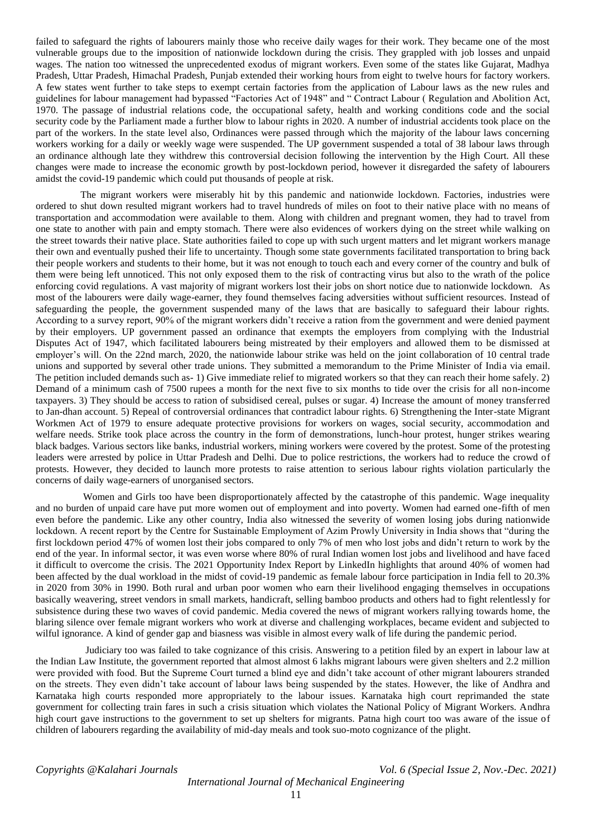failed to safeguard the rights of labourers mainly those who receive daily wages for their work. They became one of the most vulnerable groups due to the imposition of nationwide lockdown during the crisis. They grappled with job losses and unpaid wages. The nation too witnessed the unprecedented exodus of migrant workers. Even some of the states like Gujarat, Madhya Pradesh, Uttar Pradesh, Himachal Pradesh, Punjab extended their working hours from eight to twelve hours for factory workers. A few states went further to take steps to exempt certain factories from the application of Labour laws as the new rules and guidelines for labour management had bypassed "Factories Act of 1948" and " Contract Labour ( Regulation and Abolition Act, 1970. The passage of industrial relations code, the occupational safety, health and working conditions code and the social security code by the Parliament made a further blow to labour rights in 2020. A number of industrial accidents took place on the part of the workers. In the state level also, Ordinances were passed through which the majority of the labour laws concerning workers working for a daily or weekly wage were suspended. The UP government suspended a total of 38 labour laws through an ordinance although late they withdrew this controversial decision following the intervention by the High Court. All these changes were made to increase the economic growth by post-lockdown period, however it disregarded the safety of labourers amidst the covid-19 pandemic which could put thousands of people at risk.

 The migrant workers were miserably hit by this pandemic and nationwide lockdown. Factories, industries were ordered to shut down resulted migrant workers had to travel hundreds of miles on foot to their native place with no means of transportation and accommodation were available to them. Along with children and pregnant women, they had to travel from one state to another with pain and empty stomach. There were also evidences of workers dying on the street while walking on the street towards their native place. State authorities failed to cope up with such urgent matters and let migrant workers manage their own and eventually pushed their life to uncertainty. Though some state governments facilitated transportation to bring back their people workers and students to their home, but it was not enough to touch each and every corner of the country and bulk of them were being left unnoticed. This not only exposed them to the risk of contracting virus but also to the wrath of the police enforcing covid regulations. A vast majority of migrant workers lost their jobs on short notice due to nationwide lockdown. As most of the labourers were daily wage-earner, they found themselves facing adversities without sufficient resources. Instead of safeguarding the people, the government suspended many of the laws that are basically to safeguard their labour rights. According to a survey report, 90% of the migrant workers didn't receive a ration from the government and were denied payment by their employers. UP government passed an ordinance that exempts the employers from complying with the Industrial Disputes Act of 1947, which facilitated labourers being mistreated by their employers and allowed them to be dismissed at employer's will. On the 22nd march, 2020, the nationwide labour strike was held on the joint collaboration of 10 central trade unions and supported by several other trade unions. They submitted a memorandum to the Prime Minister of India via email. The petition included demands such as- 1) Give immediate relief to migrated workers so that they can reach their home safely. 2) Demand of a minimum cash of 7500 rupees a month for the next five to six months to tide over the crisis for all non-income taxpayers. 3) They should be access to ration of subsidised cereal, pulses or sugar. 4) Increase the amount of money transferred to Jan-dhan account. 5) Repeal of controversial ordinances that contradict labour rights. 6) Strengthening the Inter-state Migrant Workmen Act of 1979 to ensure adequate protective provisions for workers on wages, social security, accommodation and welfare needs. Strike took place across the country in the form of demonstrations, lunch-hour protest, hunger strikes wearing black badges. Various sectors like banks, industrial workers, mining workers were covered by the protest. Some of the protesting leaders were arrested by police in Uttar Pradesh and Delhi. Due to police restrictions, the workers had to reduce the crowd of protests. However, they decided to launch more protests to raise attention to serious labour rights violation particularly the concerns of daily wage-earners of unorganised sectors.

 Women and Girls too have been disproportionately affected by the catastrophe of this pandemic. Wage inequality and no burden of unpaid care have put more women out of employment and into poverty. Women had earned one-fifth of men even before the pandemic. Like any other country, India also witnessed the severity of women losing jobs during nationwide lockdown. A recent report by the Centre for Sustainable Employment of Azim Prowly University in India shows that "during the first lockdown period 47% of women lost their jobs compared to only 7% of men who lost jobs and didn't return to work by the end of the year. In informal sector, it was even worse where 80% of rural Indian women lost jobs and livelihood and have faced it difficult to overcome the crisis. The 2021 Opportunity Index Report by LinkedIn highlights that around 40% of women had been affected by the dual workload in the midst of covid-19 pandemic as female labour force participation in India fell to 20.3% in 2020 from 30% in 1990. Both rural and urban poor women who earn their livelihood engaging themselves in occupations basically weavering, street vendors in small markets, handicraft, selling bamboo products and others had to fight relentlessly for subsistence during these two waves of covid pandemic. Media covered the news of migrant workers rallying towards home, the blaring silence over female migrant workers who work at diverse and challenging workplaces, became evident and subjected to wilful ignorance. A kind of gender gap and biasness was visible in almost every walk of life during the pandemic period.

 Judiciary too was failed to take cognizance of this crisis. Answering to a petition filed by an expert in labour law at the Indian Law Institute, the government reported that almost almost 6 lakhs migrant labours were given shelters and 2.2 million were provided with food. But the Supreme Court turned a blind eye and didn't take account of other migrant labourers stranded on the streets. They even didn't take account of labour laws being suspended by the states. However, the like of Andhra and Karnataka high courts responded more appropriately to the labour issues. Karnataka high court reprimanded the state government for collecting train fares in such a crisis situation which violates the National Policy of Migrant Workers. Andhra high court gave instructions to the government to set up shelters for migrants. Patna high court too was aware of the issue of children of labourers regarding the availability of mid-day meals and took suo-moto cognizance of the plight.

*Copyrights @Kalahari Journals Vol. 6 (Special Issue 2, Nov.-Dec. 2021)*

*International Journal of Mechanical Engineering*